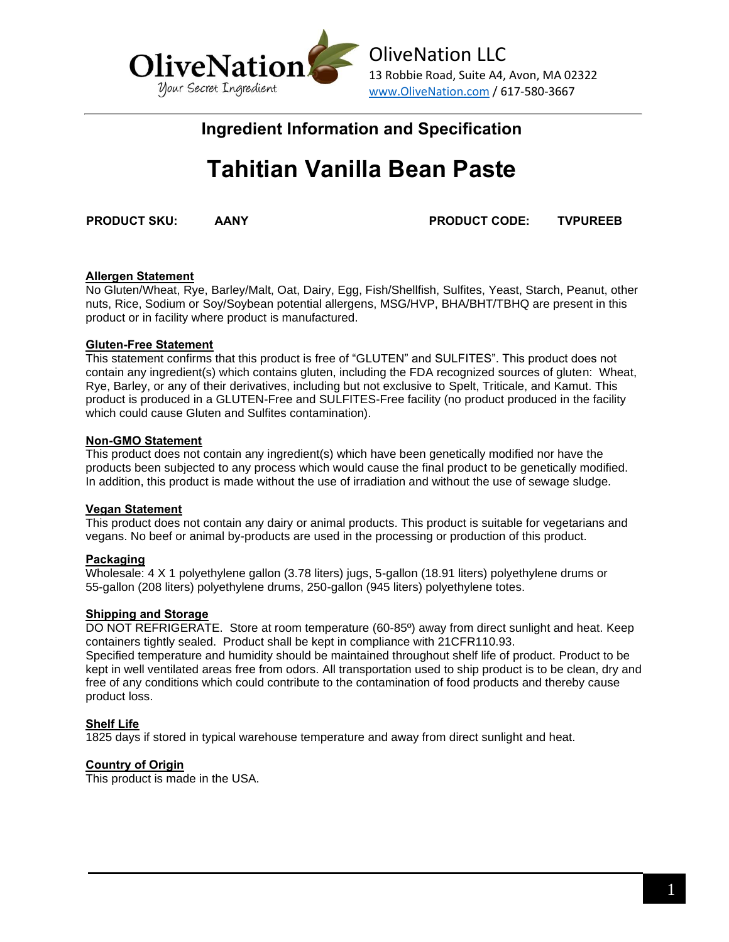

# **Ingredient Information and Specification**

# **Tahitian Vanilla Bean Paste**

**PRODUCT SKU: AANY PRODUCT CODE: TVPUREEB**

# **Allergen Statement**

No Gluten/Wheat, Rye, Barley/Malt, Oat, Dairy, Egg, Fish/Shellfish, Sulfites, Yeast, Starch, Peanut, other nuts, Rice, Sodium or Soy/Soybean potential allergens, MSG/HVP, BHA/BHT/TBHQ are present in this product or in facility where product is manufactured.

# **Gluten-Free Statement**

This statement confirms that this product is free of "GLUTEN" and SULFITES". This product does not contain any ingredient(s) which contains gluten, including the FDA recognized sources of gluten: Wheat, Rye, Barley, or any of their derivatives, including but not exclusive to Spelt, Triticale, and Kamut. This product is produced in a GLUTEN-Free and SULFITES-Free facility (no product produced in the facility which could cause Gluten and Sulfites contamination).

### **Non-GMO Statement**

This product does not contain any ingredient(s) which have been genetically modified nor have the products been subjected to any process which would cause the final product to be genetically modified. In addition, this product is made without the use of irradiation and without the use of sewage sludge.

# **Vegan Statement**

This product does not contain any dairy or animal products. This product is suitable for vegetarians and vegans. No beef or animal by-products are used in the processing or production of this product.

# **Packaging**

Wholesale: 4 X 1 polyethylene gallon (3.78 liters) jugs, 5-gallon (18.91 liters) polyethylene drums or 55-gallon (208 liters) polyethylene drums, 250-gallon (945 liters) polyethylene totes.

#### **Shipping and Storage**

DO NOT REFRIGERATE. Store at room temperature (60-85º) away from direct sunlight and heat. Keep containers tightly sealed. Product shall be kept in compliance with 21CFR110.93. Specified temperature and humidity should be maintained throughout shelf life of product. Product to be kept in well ventilated areas free from odors. All transportation used to ship product is to be clean, dry and free of any conditions which could contribute to the contamination of food products and thereby cause product loss.

# **Shelf Life**

1825 days if stored in typical warehouse temperature and away from direct sunlight and heat.

# **Country of Origin**

This product is made in the USA.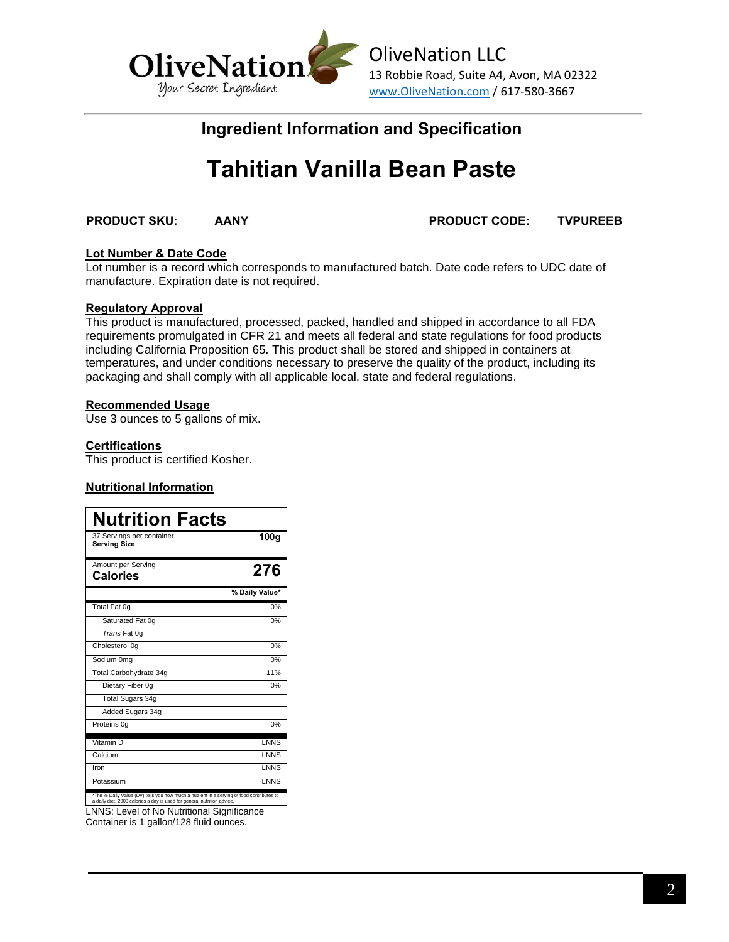

# **Ingredient Information and Specification**

# **Tahitian Vanilla Bean Paste**

**PRODUCT SKU: AANY PRODUCT CODE: TVPUREEB**

#### **Lot Number & Date Code**

Lot number is a record which corresponds to manufactured batch. Date code refers to UDC date of manufacture. Expiration date is not required.

#### **Regulatory Approval**

This product is manufactured, processed, packed, handled and shipped in accordance to all FDA requirements promulgated in CFR 21 and meets all federal and state regulations for food products including California Proposition 65. This product shall be stored and shipped in containers at temperatures, and under conditions necessary to preserve the quality of the product, including its packaging and shall comply with all applicable local, state and federal regulations.

#### **Recommended Usage**

Use 3 ounces to 5 gallons of mix.

#### **Certifications**

This product is certified Kosher.

#### **Nutritional Information**

| <b>Nutrition Facts</b>                                                                                                                                               |                  |
|----------------------------------------------------------------------------------------------------------------------------------------------------------------------|------------------|
| 37 Servings per container<br><b>Serving Size</b>                                                                                                                     | 100 <sub>g</sub> |
| Amount per Serving<br>Calories                                                                                                                                       | 276              |
|                                                                                                                                                                      | % Daily Value*   |
| Total Fat 0g                                                                                                                                                         | 0%               |
| Saturated Fat 0q                                                                                                                                                     | 0%               |
| Trans Fat 0q                                                                                                                                                         |                  |
| Cholesterol 0g                                                                                                                                                       | 0%               |
| Sodium 0mg                                                                                                                                                           | 0%               |
| Total Carbohydrate 34q                                                                                                                                               | 11%              |
| Dietary Fiber 0q                                                                                                                                                     | 0%               |
| Total Sugars 34g                                                                                                                                                     |                  |
| Added Sugars 34g                                                                                                                                                     |                  |
| Proteins 0q                                                                                                                                                          | 0%               |
| Vitamin <sub>D</sub>                                                                                                                                                 | <b>LNNS</b>      |
| Calcium                                                                                                                                                              | <b>LNNS</b>      |
| Iron                                                                                                                                                                 | <b>INNS</b>      |
| Potassium                                                                                                                                                            | LNNS             |
| *The % Daily Value (DV) tells you how much a nutrient in a serving of food contributes to<br>a daily diet. 2000 calories a day is used for general nutrition advice. |                  |

LNNS: Level of No Nutritional Significance Container is 1 gallon/128 fluid ounces.